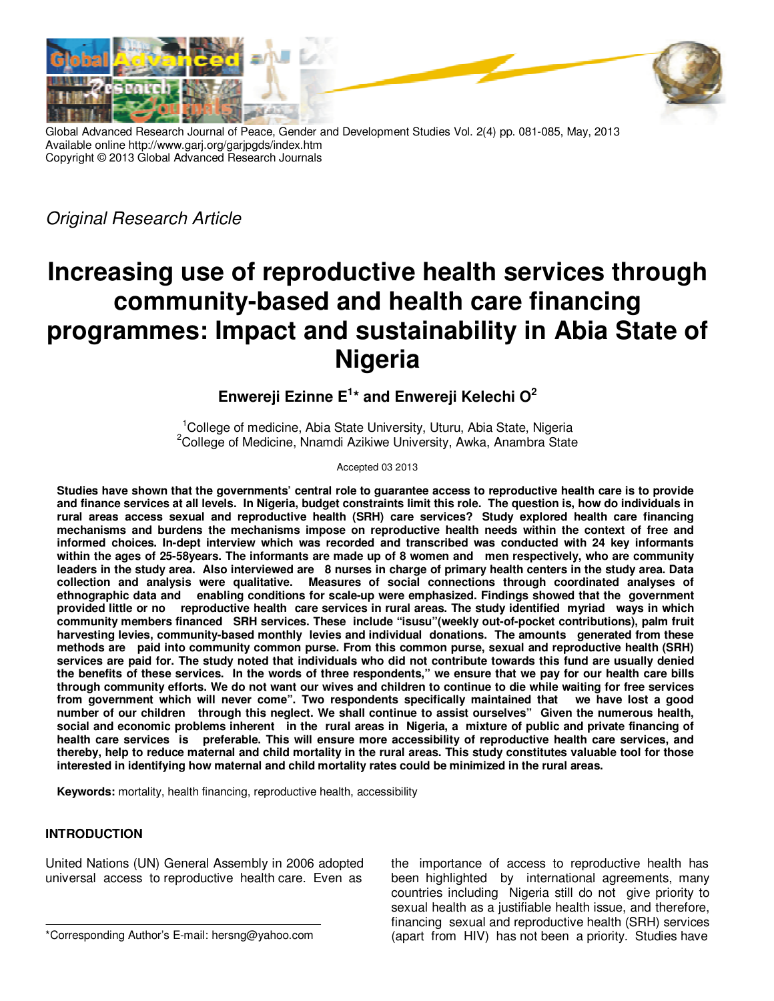



Global Advanced Research Journal of Peace, Gender and Development Studies Vol. 2(4) pp. 081-085, May, 2013 Available online http://www.garj.org/garjpgds/index.htm Copyright © 2013 Global Advanced Research Journals

Original Research Article

# **Increasing use of reproductive health services through community-based and health care financing programmes: Impact and sustainability in Abia State of Nigeria**

## **Enwereji Ezinne E<sup>1</sup> \* and Enwereji Kelechi O<sup>2</sup>**

<sup>1</sup>College of medicine, Abia State University, Uturu, Abia State, Nigeria  $2$ College of Medicine, Nnamdi Azikiwe University, Awka, Anambra State

Accepted 03 2013

**Studies have shown that the governments' central role to guarantee access to reproductive health care is to provide and finance services at all levels. In Nigeria, budget constraints limit this role. The question is, how do individuals in rural areas access sexual and reproductive health (SRH) care services? Study explored health care financing mechanisms and burdens the mechanisms impose on reproductive health needs within the context of free and informed choices. In-dept interview which was recorded and transcribed was conducted with 24 key informants within the ages of 25-58years. The informants are made up of 8 women and men respectively, who are community leaders in the study area. Also interviewed are 8 nurses in charge of primary health centers in the study area. Data collection and analysis were qualitative. Measures of social connections through coordinated analyses of ethnographic data and enabling conditions for scale-up were emphasized. Findings showed that the government provided little or no reproductive health care services in rural areas. The study identified myriad ways in which community members financed SRH services. These include "isusu"(weekly out-of-pocket contributions), palm fruit harvesting levies, community-based monthly levies and individual donations. The amounts generated from these methods are paid into community common purse. From this common purse, sexual and reproductive health (SRH) services are paid for. The study noted that individuals who did not contribute towards this fund are usually denied the benefits of these services. In the words of three respondents," we ensure that we pay for our health care bills through community efforts. We do not want our wives and children to continue to die while waiting for free services from government which will never come". Two respondents specifically maintained that we have lost a good number of our children through this neglect. We shall continue to assist ourselves" Given the numerous health, social and economic problems inherent in the rural areas in Nigeria, a mixture of public and private financing of health care services is preferable. This will ensure more accessibility of reproductive health care services, and thereby, help to reduce maternal and child mortality in the rural areas. This study constitutes valuable tool for those interested in identifying how maternal and child mortality rates could be minimized in the rural areas.** 

**Keywords:** mortality, health financing, reproductive health, accessibility

## **INTRODUCTION**

United Nations (UN) General Assembly in 2006 adopted universal access to reproductive health care. Even as

the importance of access to reproductive health has been highlighted by international agreements, many countries including Nigeria still do not give priority to sexual health as a justifiable health issue, and therefore, financing sexual and reproductive health (SRH) services (apart from HIV) has not been a priority. Studies have

<sup>\*</sup>Corresponding Author's E-mail: hersng@yahoo.com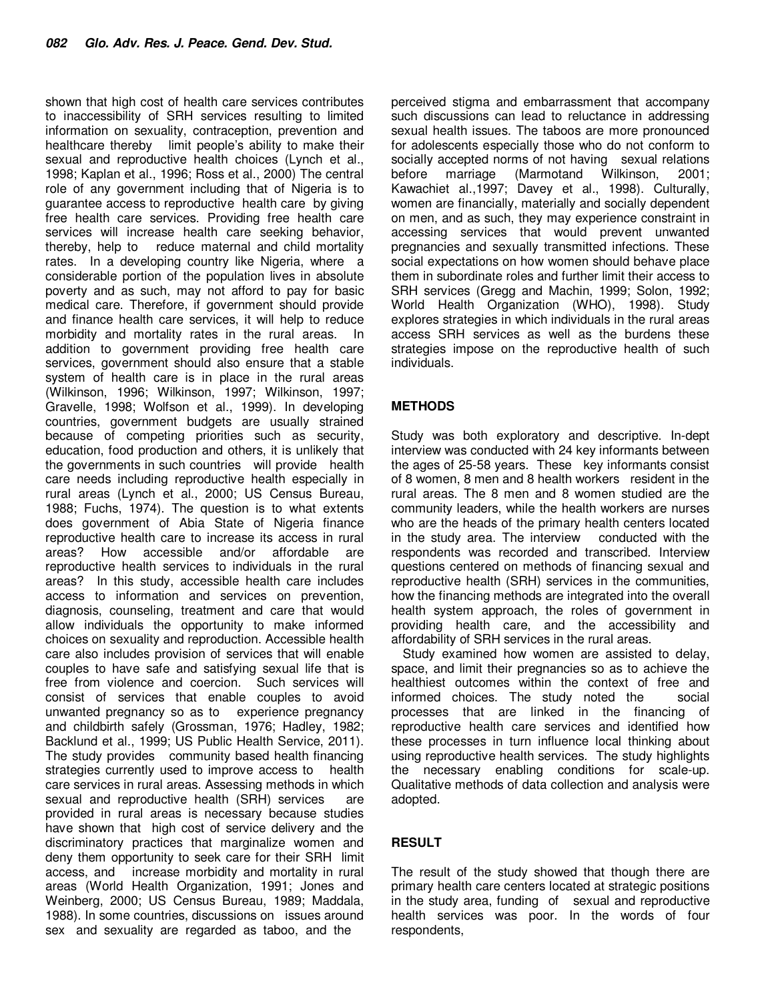shown that high cost of health care services contributes to inaccessibility of SRH services resulting to limited information on sexuality, contraception, prevention and healthcare thereby limit people's ability to make their sexual and reproductive health choices (Lynch et al., 1998; Kaplan et al., 1996; Ross et al., 2000) The central role of any government including that of Nigeria is to guarantee access to reproductive health care by giving free health care services. Providing free health care services will increase health care seeking behavior, thereby, help to reduce maternal and child mortality rates. In a developing country like Nigeria, where a considerable portion of the population lives in absolute poverty and as such, may not afford to pay for basic medical care. Therefore, if government should provide and finance health care services, it will help to reduce morbidity and mortality rates in the rural areas. In addition to government providing free health care services, government should also ensure that a stable system of health care is in place in the rural areas (Wilkinson, 1996; Wilkinson, 1997; Wilkinson, 1997; Gravelle, 1998; Wolfson et al., 1999). In developing countries, government budgets are usually strained because of competing priorities such as security, education, food production and others, it is unlikely that the governments in such countries will provide health care needs including reproductive health especially in rural areas (Lynch et al., 2000; US Census Bureau, 1988; Fuchs, 1974). The question is to what extents does government of Abia State of Nigeria finance reproductive health care to increase its access in rural areas? How accessible and/or affordable are reproductive health services to individuals in the rural areas? In this study, accessible health care includes access to information and services on prevention, diagnosis, counseling, treatment and care that would allow individuals the opportunity to make informed choices on sexuality and reproduction. Accessible health care also includes provision of services that will enable couples to have safe and satisfying sexual life that is free from violence and coercion. Such services will consist of services that enable couples to avoid unwanted pregnancy so as to experience pregnancy and childbirth safely (Grossman, 1976; Hadley, 1982; Backlund et al., 1999; US Public Health Service, 2011). The study provides community based health financing strategies currently used to improve access to health care services in rural areas. Assessing methods in which sexual and reproductive health (SRH) services are provided in rural areas is necessary because studies have shown that high cost of service delivery and the discriminatory practices that marginalize women and deny them opportunity to seek care for their SRH limit access, and increase morbidity and mortality in rural areas (World Health Organization, 1991; Jones and Weinberg, 2000; US Census Bureau, 1989; Maddala, 1988). In some countries, discussions on issues around sex and sexuality are regarded as taboo, and the

perceived stigma and embarrassment that accompany such discussions can lead to reluctance in addressing sexual health issues. The taboos are more pronounced for adolescents especially those who do not conform to socially accepted norms of not having sexual relations before marriage (Marmotand Wilkinson, 2001; Kawachiet al.,1997; Davey et al., 1998). Culturally, women are financially, materially and socially dependent on men, and as such, they may experience constraint in accessing services that would prevent unwanted pregnancies and sexually transmitted infections. These social expectations on how women should behave place them in subordinate roles and further limit their access to SRH services (Gregg and Machin, 1999; Solon, 1992; World Health Organization (WHO), 1998). Study explores strategies in which individuals in the rural areas access SRH services as well as the burdens these strategies impose on the reproductive health of such individuals.

## **METHODS**

Study was both exploratory and descriptive. In-dept interview was conducted with 24 key informants between the ages of 25-58 years. These key informants consist of 8 women, 8 men and 8 health workers resident in the rural areas. The 8 men and 8 women studied are the community leaders, while the health workers are nurses who are the heads of the primary health centers located in the study area. The interview conducted with the respondents was recorded and transcribed. Interview questions centered on methods of financing sexual and reproductive health (SRH) services in the communities, how the financing methods are integrated into the overall health system approach, the roles of government in providing health care, and the accessibility and affordability of SRH services in the rural areas.

Study examined how women are assisted to delay, space, and limit their pregnancies so as to achieve the healthiest outcomes within the context of free and informed choices. The study noted the social processes that are linked in the financing of reproductive health care services and identified how these processes in turn influence local thinking about using reproductive health services. The study highlights the necessary enabling conditions for scale-up. Qualitative methods of data collection and analysis were adopted.

## **RESULT**

The result of the study showed that though there are primary health care centers located at strategic positions in the study area, funding of sexual and reproductive health services was poor. In the words of four respondents,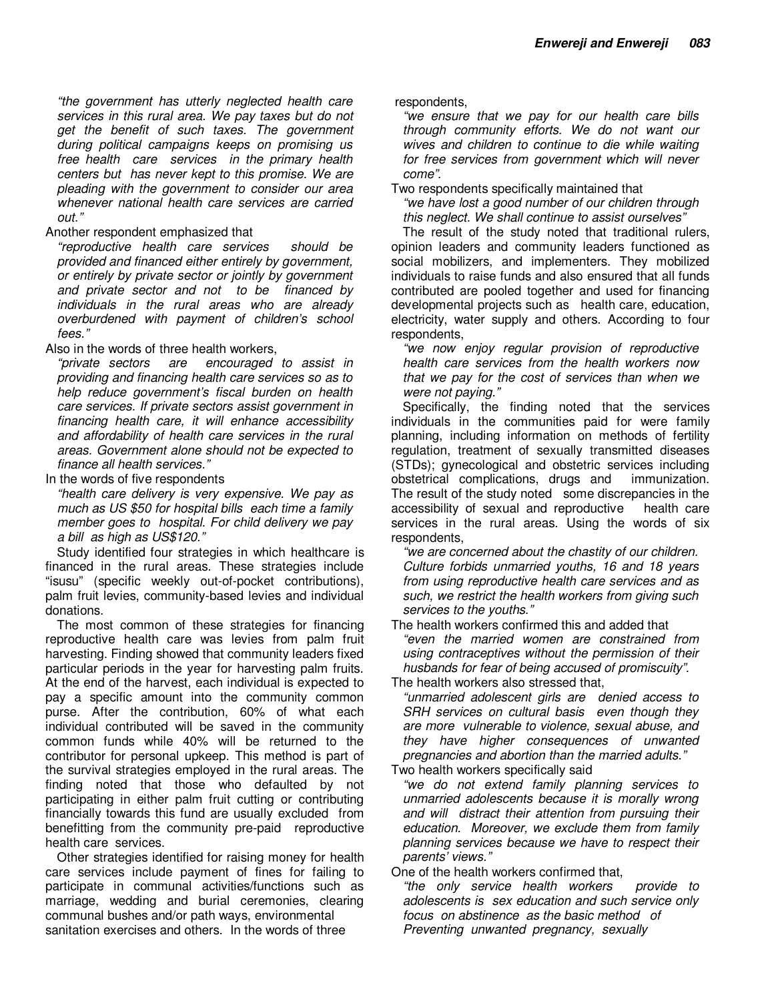"the government has utterly neglected health care services in this rural area. We pay taxes but do not get the benefit of such taxes. The government during political campaigns keeps on promising us free health care services in the primary health centers but has never kept to this promise. We are pleading with the government to consider our area whenever national health care services are carried out."

### Another respondent emphasized that

"reproductive health care services should be provided and financed either entirely by government, or entirely by private sector or jointly by government and private sector and not to be financed by individuals in the rural areas who are already overburdened with payment of children's school fees."

Also in the words of three health workers,

"private sectors are encouraged to assist in providing and financing health care services so as to help reduce government's fiscal burden on health care services. If private sectors assist government in financing health care, it will enhance accessibility and affordability of health care services in the rural areas. Government alone should not be expected to finance all health services."

In the words of five respondents

"health care delivery is very expensive. We pay as much as US \$50 for hospital bills each time a family member goes to hospital. For child delivery we pay a bill as high as US\$120."

Study identified four strategies in which healthcare is financed in the rural areas. These strategies include "isusu" (specific weekly out-of-pocket contributions), palm fruit levies, community-based levies and individual donations.

The most common of these strategies for financing reproductive health care was levies from palm fruit harvesting. Finding showed that community leaders fixed particular periods in the year for harvesting palm fruits. At the end of the harvest, each individual is expected to pay a specific amount into the community common purse. After the contribution, 60% of what each individual contributed will be saved in the community common funds while 40% will be returned to the contributor for personal upkeep. This method is part of the survival strategies employed in the rural areas. The finding noted that those who defaulted by not participating in either palm fruit cutting or contributing financially towards this fund are usually excluded from benefitting from the community pre-paid reproductive health care services.

Other strategies identified for raising money for health care services include payment of fines for failing to participate in communal activities/functions such as marriage, wedding and burial ceremonies, clearing communal bushes and/or path ways, environmental sanitation exercises and others. In the words of three

respondents,

"we ensure that we pay for our health care bills through community efforts. We do not want our wives and children to continue to die while waiting for free services from government which will never come".

Two respondents specifically maintained that

"we have lost a good number of our children through this neglect. We shall continue to assist ourselves"

The result of the study noted that traditional rulers, opinion leaders and community leaders functioned as social mobilizers, and implementers. They mobilized individuals to raise funds and also ensured that all funds contributed are pooled together and used for financing developmental projects such as health care, education, electricity, water supply and others. According to four respondents,

"we now enjoy regular provision of reproductive health care services from the health workers now that we pay for the cost of services than when we were not paying."

Specifically, the finding noted that the services individuals in the communities paid for were family planning, including information on methods of fertility regulation, treatment of sexually transmitted diseases (STDs); gynecological and obstetric services including obstetrical complications, drugs and immunization. The result of the study noted some discrepancies in the accessibility of sexual and reproductive health care services in the rural areas. Using the words of six respondents,

"we are concerned about the chastity of our children. Culture forbids unmarried youths, 16 and 18 years from using reproductive health care services and as such, we restrict the health workers from giving such services to the youths."

The health workers confirmed this and added that

"even the married women are constrained from using contraceptives without the permission of their husbands for fear of being accused of promiscuity".

The health workers also stressed that,

"unmarried adolescent girls are denied access to SRH services on cultural basis even though they are more vulnerable to violence, sexual abuse, and they have higher consequences of unwanted pregnancies and abortion than the married adults."

Two health workers specifically said

"we do not extend family planning services to unmarried adolescents because it is morally wrong and will distract their attention from pursuing their education. Moreover, we exclude them from family planning services because we have to respect their parents' views."

One of the health workers confirmed that,

"the only service health workers provide to adolescents is sex education and such service only focus on abstinence as the basic method of Preventing unwanted pregnancy, sexually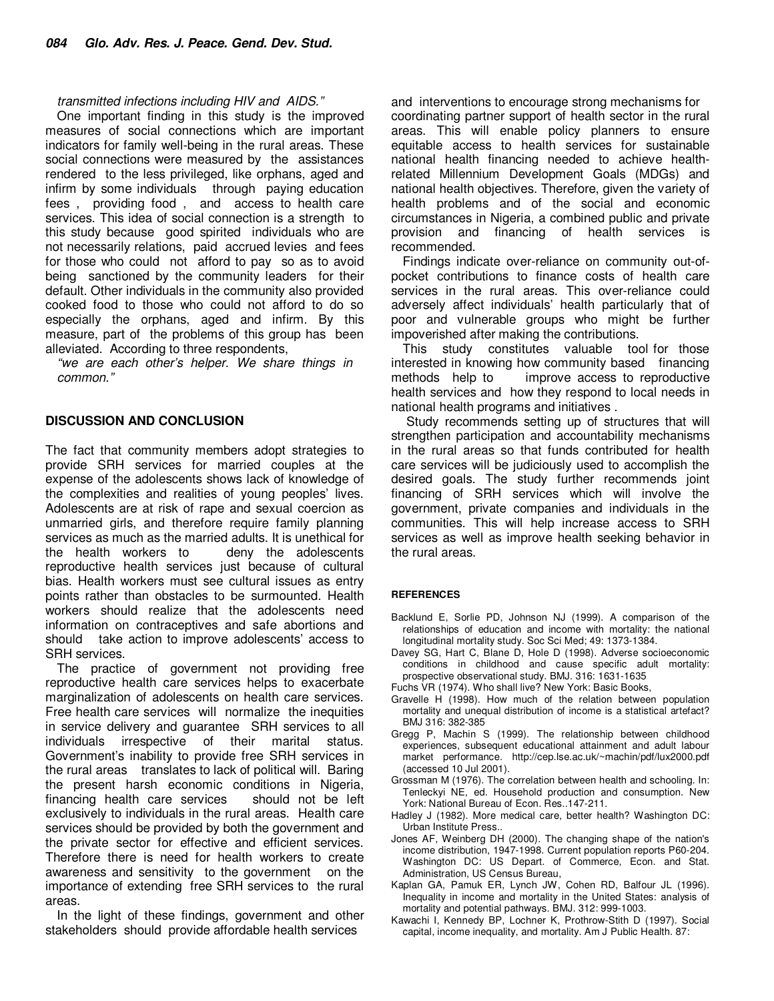#### transmitted infections including HIV and AIDS."

One important finding in this study is the improved measures of social connections which are important indicators for family well-being in the rural areas. These social connections were measured by the assistances rendered to the less privileged, like orphans, aged and infirm by some individuals through paying education fees , providing food , and access to health care services. This idea of social connection is a strength to this study because good spirited individuals who are not necessarily relations, paid accrued levies and fees for those who could not afford to pay so as to avoid being sanctioned by the community leaders for their default. Other individuals in the community also provided cooked food to those who could not afford to do so especially the orphans, aged and infirm. By this measure, part of the problems of this group has been alleviated. According to three respondents,

"we are each other's helper. We share things in common."

#### **DISCUSSION AND CONCLUSION**

The fact that community members adopt strategies to provide SRH services for married couples at the expense of the adolescents shows lack of knowledge of the complexities and realities of young peoples' lives. Adolescents are at risk of rape and sexual coercion as unmarried girls, and therefore require family planning services as much as the married adults. It is unethical for the health workers to deny the adolescents reproductive health services just because of cultural bias. Health workers must see cultural issues as entry points rather than obstacles to be surmounted. Health workers should realize that the adolescents need information on contraceptives and safe abortions and should take action to improve adolescents' access to SRH services.

The practice of government not providing free reproductive health care services helps to exacerbate marginalization of adolescents on health care services. Free health care services will normalize the inequities in service delivery and guarantee SRH services to all individuals irrespective of their marital status. Government's inability to provide free SRH services in the rural areas translates to lack of political will. Baring the present harsh economic conditions in Nigeria, financing health care services should not be left exclusively to individuals in the rural areas. Health care services should be provided by both the government and the private sector for effective and efficient services. Therefore there is need for health workers to create awareness and sensitivity to the government on the importance of extending free SRH services to the rural areas.

In the light of these findings, government and other stakeholders should provide affordable health services

and interventions to encourage strong mechanisms for coordinating partner support of health sector in the rural areas. This will enable policy planners to ensure equitable access to health services for sustainable national health financing needed to achieve healthrelated Millennium Development Goals (MDGs) and national health objectives. Therefore, given the variety of health problems and of the social and economic circumstances in Nigeria, a combined public and private provision and financing of health services is recommended.

Findings indicate over-reliance on community out-ofpocket contributions to finance costs of health care services in the rural areas. This over-reliance could adversely affect individuals' health particularly that of poor and vulnerable groups who might be further impoverished after making the contributions.

This study constitutes valuable tool for those interested in knowing how community based financing methods help to improve access to reproductive health services and how they respond to local needs in national health programs and initiatives .

 Study recommends setting up of structures that will strengthen participation and accountability mechanisms in the rural areas so that funds contributed for health care services will be judiciously used to accomplish the desired goals. The study further recommends joint financing of SRH services which will involve the government, private companies and individuals in the communities. This will help increase access to SRH services as well as improve health seeking behavior in the rural areas.

#### **REFERENCES**

- Backlund E, Sorlie PD, Johnson NJ (1999). A comparison of the relationships of education and income with mortality: the national longitudinal mortality study. Soc Sci Med; 49: 1373-1384.
- Davey SG, Hart C, Blane D, Hole D (1998). Adverse socioeconomic conditions in childhood and cause specific adult mortality: prospective observational study. BMJ. 316: 1631-1635
- Fuchs VR (1974). Who shall live? New York: Basic Books,
- Gravelle H (1998). How much of the relation between population mortality and unequal distribution of income is a statistical artefact? BMJ 316: 382-385
- Gregg P, Machin S (1999). The relationship between childhood experiences, subsequent educational attainment and adult labour market performance. http://cep.lse.ac.uk/~machin/pdf/lux2000.pdf (accessed 10 Jul 2001).
- Grossman M (1976). The correlation between health and schooling. In: Tenleckyi NE, ed. Household production and consumption. New York: National Bureau of Econ. Res..147-211.
- Hadley J (1982). More medical care, better health? Washington DC: Urban Institute Press..
- Jones AF, Weinberg DH (2000). The changing shape of the nation's income distribution, 1947-1998. Current population reports P60-204. Washington DC: US Depart. of Commerce, Econ. and Stat. Administration, US Census Bureau,
- Kaplan GA, Pamuk ER, Lynch JW, Cohen RD, Balfour JL (1996). Inequality in income and mortality in the United States: analysis of mortality and potential pathways. BMJ. 312: 999-1003.
- Kawachi I, Kennedy BP, Lochner K, Prothrow-Stith D (1997). Social capital, income inequality, and mortality. Am J Public Health. 87: